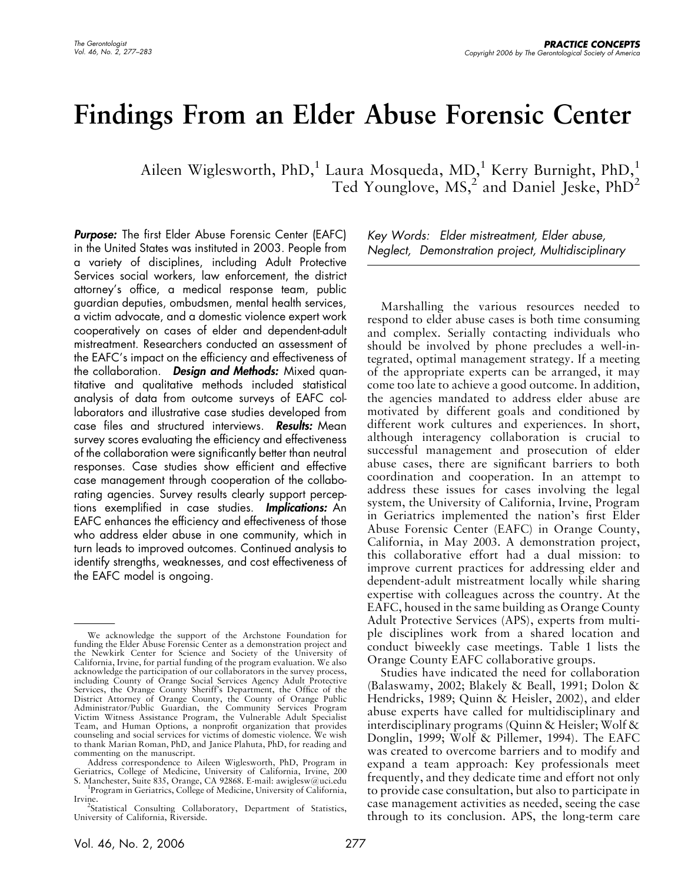# Findings From an Elder Abuse Forensic Center

Aileen Wiglesworth, PhD, $^{1}$  Laura Mosqueda, MD, $^{1}$  Kerry Burnight, PhD, $^{1}$ Ted Younglove,  $MS<sub>1</sub><sup>2</sup>$  and Daniel Jeske, PhD<sup>2</sup>

**Purpose:** The first Elder Abuse Forensic Center (EAFC) in the United States was instituted in 2003. People from a variety of disciplines, including Adult Protective Services social workers, law enforcement, the district attorney's office, a medical response team, public guardian deputies, ombudsmen, mental health services, a victim advocate, and a domestic violence expert work cooperatively on cases of elder and dependent-adult mistreatment. Researchers conducted an assessment of the EAFC's impact on the efficiency and effectiveness of the collaboration. Design and Methods: Mixed quantitative and qualitative methods included statistical analysis of data from outcome surveys of EAFC collaborators and illustrative case studies developed from case files and structured interviews. **Results:** Mean survey scores evaluating the efficiency and effectiveness of the collaboration were significantly better than neutral responses. Case studies show efficient and effective case management through cooperation of the collaborating agencies. Survey results clearly support perceptions exemplified in case studies. **Implications:** An EAFC enhances the efficiency and effectiveness of those who address elder abuse in one community, which in turn leads to improved outcomes. Continued analysis to identify strengths, weaknesses, and cost effectiveness of the EAFC model is ongoing.

Key Words: Elder mistreatment, Elder abuse, Neglect, Demonstration project, Multidisciplinary

Marshalling the various resources needed to respond to elder abuse cases is both time consuming and complex. Serially contacting individuals who should be involved by phone precludes a well-integrated, optimal management strategy. If a meeting of the appropriate experts can be arranged, it may come too late to achieve a good outcome. In addition, the agencies mandated to address elder abuse are motivated by different goals and conditioned by different work cultures and experiences. In short, although interagency collaboration is crucial to successful management and prosecution of elder abuse cases, there are significant barriers to both coordination and cooperation. In an attempt to address these issues for cases involving the legal system, the University of California, Irvine, Program in Geriatrics implemented the nation's first Elder Abuse Forensic Center (EAFC) in Orange County, California, in May 2003. A demonstration project, this collaborative effort had a dual mission: to improve current practices for addressing elder and dependent-adult mistreatment locally while sharing expertise with colleagues across the country. At the EAFC, housed in the same building as Orange County Adult Protective Services (APS), experts from multiple disciplines work from a shared location and conduct biweekly case meetings. Table 1 lists the Orange County EAFC collaborative groups.

Studies have indicated the need for collaboration (Balaswamy, 2002; Blakely & Beall, 1991; Dolon & Hendricks, 1989; Quinn & Heisler, 2002), and elder abuse experts have called for multidisciplinary and interdisciplinary programs (Quinn & Heisler; Wolf & Donglin, 1999; Wolf & Pillemer, 1994). The EAFC was created to overcome barriers and to modify and expand a team approach: Key professionals meet frequently, and they dedicate time and effort not only to provide case consultation, but also to participate in case management activities as needed, seeing the case through to its conclusion. APS, the long-term care

We acknowledge the support of the Archstone Foundation for funding the Elder Abuse Forensic Center as a demonstration project and the Newkirk Center for Science and Society of the University of California, Irvine, for partial funding of the program evaluation. We also acknowledge the participation of our collaborators in the survey process, including County of Orange Social Services Agency Adult Protective Services, the Orange County Sheriff's Department, the Office of the District Attorney of Orange County, the County of Orange Public Administrator/Public Guardian, the Community Services Program Victim Witness Assistance Program, the Vulnerable Adult Specialist Team, and Human Options, a nonprofit organization that provides counseling and social services for victims of domestic violence. We wish to thank Marian Roman, PhD, and Janice Plahuta, PhD, for reading and commenting on the manuscript.

Address correspondence to Aileen Wiglesworth, PhD, Program in Geriatrics, College of Medicine, University of California, Irvine, 200<br>S. Manchester, Suite 835, Orange, CA 92868. E-mail: awiglesw@uci.edu<br><sup>1</sup>Recenses in Centerias College of Medicine University of California

Program in Geriatrics, College of Medicine, University of California, Irvine.

<sup>&</sup>lt;sup>2</sup>Statistical Consulting Collaboratory, Department of Statistics, University of California, Riverside.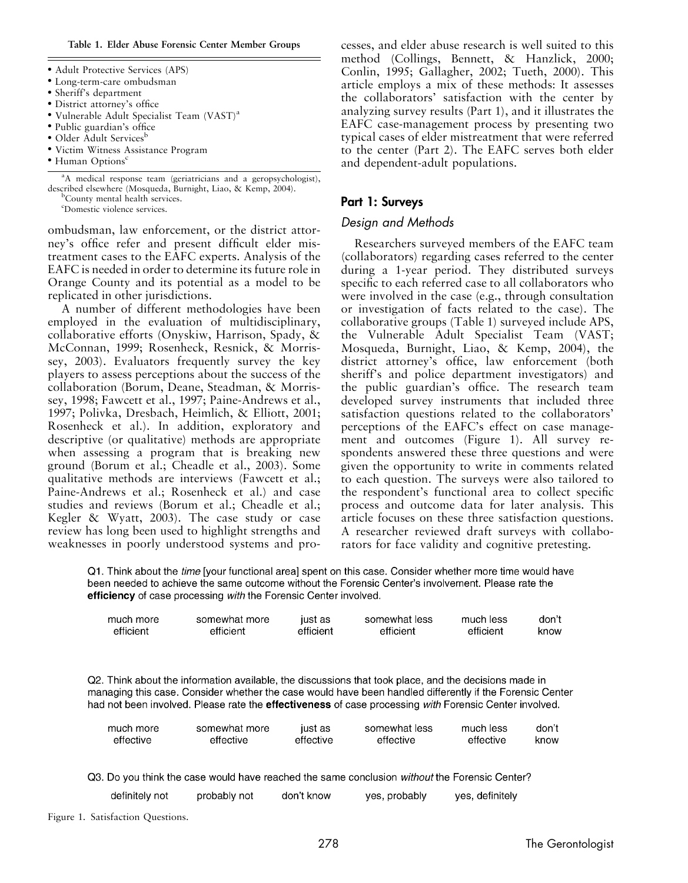Table 1. Elder Abuse Forensic Center Member Groups

- Adult Protective Services (APS)
- Long-term-care ombudsman
- Sheriff's department
- District attorney's office
- Vulnerable Adult Specialist Team (VAST)<sup>a</sup>
- Public guardian's office
- Older Adult Services<sup>b</sup>
- Victim Witness Assistance Program
- $\bullet$  Human Options<sup>c</sup>

<sup>a</sup>A medical response team (geriatricians and a geropsychologist), described elsewhere (Mosqueda, Burnight, Liao, & Kemp, 2004). <sup>b</sup>

<sup>b</sup>County mental health services.

c Domestic violence services.

ombudsman, law enforcement, or the district attorney's office refer and present difficult elder mistreatment cases to the EAFC experts. Analysis of the EAFC is needed in order to determine its future role in Orange County and its potential as a model to be replicated in other jurisdictions.

A number of different methodologies have been employed in the evaluation of multidisciplinary, collaborative efforts (Onyskiw, Harrison, Spady, & McConnan, 1999; Rosenheck, Resnick, & Morrissey, 2003). Evaluators frequently survey the key players to assess perceptions about the success of the collaboration (Borum, Deane, Steadman, & Morrissey, 1998; Fawcett et al., 1997; Paine-Andrews et al., 1997; Polivka, Dresbach, Heimlich, & Elliott, 2001; Rosenheck et al.). In addition, exploratory and descriptive (or qualitative) methods are appropriate when assessing a program that is breaking new ground (Borum et al.; Cheadle et al., 2003). Some qualitative methods are interviews (Fawcett et al.; Paine-Andrews et al.; Rosenheck et al.) and case studies and reviews (Borum et al.; Cheadle et al.; Kegler & Wyatt, 2003). The case study or case review has long been used to highlight strengths and weaknesses in poorly understood systems and pro-

cesses, and elder abuse research is well suited to this method (Collings, Bennett, & Hanzlick, 2000; Conlin, 1995; Gallagher, 2002; Tueth, 2000). This article employs a mix of these methods: It assesses the collaborators' satisfaction with the center by analyzing survey results (Part 1), and it illustrates the EAFC case-management process by presenting two typical cases of elder mistreatment that were referred to the center (Part 2). The EAFC serves both elder and dependent-adult populations.

# Part 1: Surveys

## Design and Methods

Researchers surveyed members of the EAFC team (collaborators) regarding cases referred to the center during a 1-year period. They distributed surveys specific to each referred case to all collaborators who were involved in the case (e.g., through consultation or investigation of facts related to the case). The collaborative groups (Table 1) surveyed include APS, the Vulnerable Adult Specialist Team (VAST; Mosqueda, Burnight, Liao, & Kemp, 2004), the district attorney's office, law enforcement (both sheriff's and police department investigators) and the public guardian's office. The research team developed survey instruments that included three satisfaction questions related to the collaborators' perceptions of the EAFC's effect on case management and outcomes (Figure 1). All survey respondents answered these three questions and were given the opportunity to write in comments related to each question. The surveys were also tailored to the respondent's functional area to collect specific process and outcome data for later analysis. This article focuses on these three satisfaction questions. A researcher reviewed draft surveys with collaborators for face validity and cognitive pretesting.

yes, definitely

Q1. Think about the *time* [your functional area] spent on this case. Consider whether more time would have been needed to achieve the same outcome without the Forensic Center's involvement. Please rate the efficiency of case processing with the Forensic Center involved.

| much more | somewhat more | just as   | somewhat less | much less | don't |
|-----------|---------------|-----------|---------------|-----------|-------|
| efficient | efficient     | efficient | efficient     | efficient | know  |

Q2. Think about the information available, the discussions that took place, and the decisions made in managing this case. Consider whether the case would have been handled differently if the Forensic Center had not been involved. Please rate the effectiveness of case processing with Forensic Center involved.

| much more | somewhat more | just as   | somewhat less | much less | don't |
|-----------|---------------|-----------|---------------|-----------|-------|
| effective | effective     | effective | effective     | effective | know  |

yes, probably

Q3. Do you think the case would have reached the same conclusion without the Forensic Center? don't know

| definitely not | probably not |  |
|----------------|--------------|--|
|                |              |  |

Figure 1. Satisfaction Questions.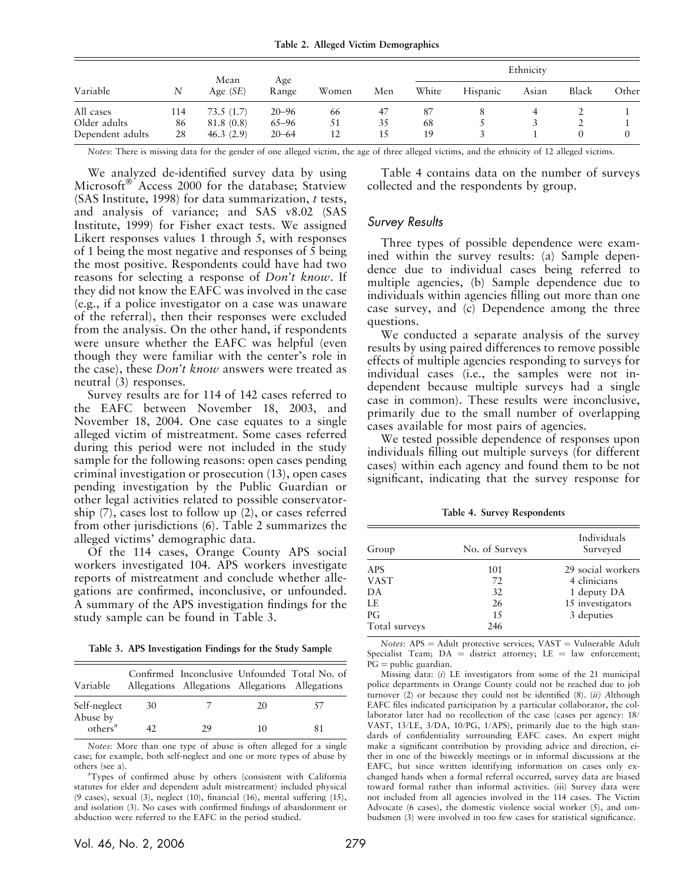Table 2. Alleged Victim Demographics

|                  |     |                    | Age<br>Range |       |     | Ethnicity |          |       |       |       |
|------------------|-----|--------------------|--------------|-------|-----|-----------|----------|-------|-------|-------|
| Variable         | N   | Mean<br>Age $(SE)$ |              | Women | Men | White     | Hispanic | Asian | Black | Other |
| All cases        | 114 | 73.5(1.7)          | $20 - 96$    | 66    | 47  | 87        |          | 4     |       |       |
| Older adults     | 86  | 81.8 (0.8)         | $65 - 96$    | 51    | 35  | 68        |          |       |       |       |
| Dependent adults | 28  | 46.3(2.9)          | $20 - 64$    | 12    | 15  | 19        |          |       |       |       |

Notes: There is missing data for the gender of one alleged victim, the age of three alleged victims, and the ethnicity of 12 alleged victims.

We analyzed de-identified survey data by using Microsoft<sup>®</sup> Access 2000 for the database; Statview (SAS Institute, 1998) for data summarization, t tests, and analysis of variance; and SAS v8.02 (SAS Institute, 1999) for Fisher exact tests. We assigned Likert responses values 1 through 5, with responses of 1 being the most negative and responses of 5 being the most positive. Respondents could have had two reasons for selecting a response of Don't know. If they did not know the EAFC was involved in the case (e.g., if a police investigator on a case was unaware of the referral), then their responses were excluded from the analysis. On the other hand, if respondents were unsure whether the EAFC was helpful (even though they were familiar with the center's role in the case), these Don't know answers were treated as neutral (3) responses.

Survey results are for 114 of 142 cases referred to the EAFC between November 18, 2003, and November 18, 2004. One case equates to a single alleged victim of mistreatment. Some cases referred during this period were not included in the study sample for the following reasons: open cases pending criminal investigation or prosecution (13), open cases pending investigation by the Public Guardian or other legal activities related to possible conservatorship (7), cases lost to follow up (2), or cases referred from other jurisdictions (6). Table 2 summarizes the alleged victims' demographic data.

Of the 114 cases, Orange County APS social workers investigated 104. APS workers investigate reports of mistreatment and conclude whether allegations are confirmed, inconclusive, or unfounded. A summary of the APS investigation findings for the study sample can be found in Table 3.

Table 3. APS Investigation Findings for the Study Sample

| Variable                        |     | Allegations Allegations Allegations Allegations |    | Confirmed Inconclusive Unfounded Total No. of |
|---------------------------------|-----|-------------------------------------------------|----|-----------------------------------------------|
| Self-neglect                    | .30 |                                                 | 20 |                                               |
| Abuse by<br>others <sup>a</sup> |     | 29                                              | 10 |                                               |

Notes: More than one type of abuse is often alleged for a single case; for example, both self-neglect and one or more types of abuse by others (see a).

Types of confirmed abuse by others (consistent with California statutes for elder and dependent adult mistreatment) included physical (9 cases), sexual (3), neglect (10), financial (16), mental suffering (15), and isolation (3). No cases with confirmed findings of abandonment or abduction were referred to the EAFC in the period studied.

Table 4 contains data on the number of surveys collected and the respondents by group.

### Survey Results

Three types of possible dependence were examined within the survey results: (a) Sample dependence due to individual cases being referred to multiple agencies, (b) Sample dependence due to individuals within agencies filling out more than one case survey, and (c) Dependence among the three questions.

We conducted a separate analysis of the survey results by using paired differences to remove possible effects of multiple agencies responding to surveys for individual cases (i.e., the samples were not independent because multiple surveys had a single case in common). These results were inconclusive, primarily due to the small number of overlapping cases available for most pairs of agencies.

We tested possible dependence of responses upon individuals filling out multiple surveys (for different cases) within each agency and found them to be not significant, indicating that the survey response for

Table 4. Survey Respondents

| Group         | No. of Surveys | Individuals<br>Surveyed |
|---------------|----------------|-------------------------|
| <b>APS</b>    | 101            | 29 social workers       |
| <b>VAST</b>   | 72             | 4 clinicians            |
| DA            | 32             | 1 deputy DA             |
| LE            | 26             | 15 investigators        |
| PG            | 1.5            | 3 deputies              |
| Total surveys | 246            |                         |

Notes:  $APS =$  Adult protective services;  $VAST =$  Vulnerable Adult Specialist Team;  $DA =$  district attorney;  $LE =$  law enforcement;  $PG =$  public guardian.

Missing data: (i) LE investigators from some of the 21 municipal police departments in Orange County could not be reached due to job turnover  $(2)$  or because they could not be identified  $(8)$ .  $(ii)$  Although EAFC files indicated participation by a particular collaborator, the collaborator later had no recollection of the case (cases per agency: 18/ VAST, 13/LE, 3/DA, 10/PG, 1/APS), primarily due to the high standards of confidentiality surrounding EAFC cases. An expert might make a significant contribution by providing advice and direction, either in one of the biweekly meetings or in informal discussions at the EAFC, but since written identifying information on cases only exchanged hands when a formal referral occurred, survey data are biased toward formal rather than informal activities. (iii) Survey data were not included from all agencies involved in the 114 cases. The Victim Advocate (6 cases), the domestic violence social worker (5), and ombudsmen (3) were involved in too few cases for statistical significance.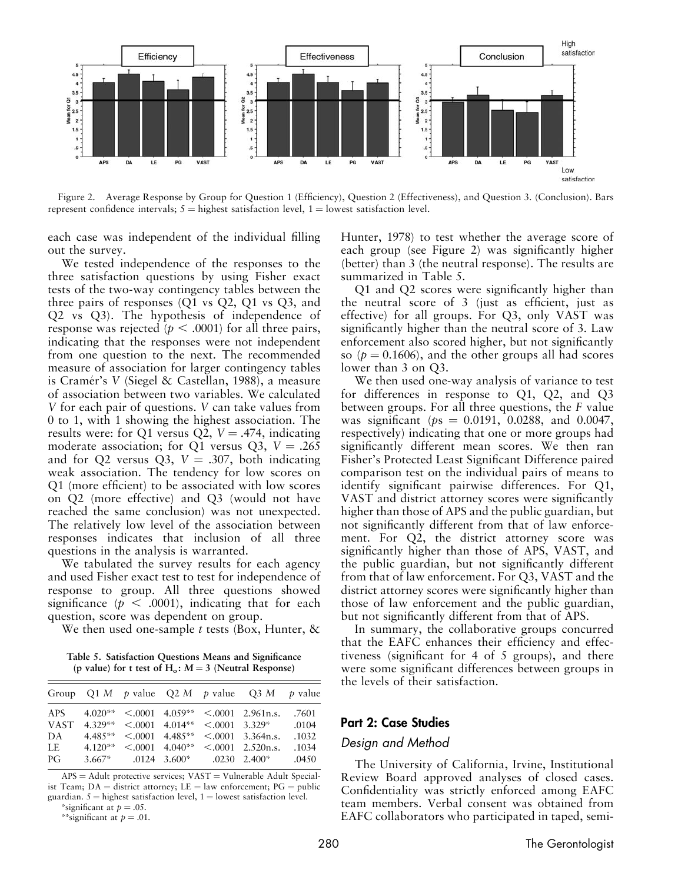

Figure 2. Average Response by Group for Question 1 (Efficiency), Question 2 (Effectiveness), and Question 3. (Conclusion). Bars represent confidence intervals;  $5 =$  highest satisfaction level,  $1 =$  lowest satisfaction level.

each case was independent of the individual filling out the survey.

We tested independence of the responses to the three satisfaction questions by using Fisher exact tests of the two-way contingency tables between the three pairs of responses (Q1 vs Q2, Q1 vs Q3, and Q2 vs Q3). The hypothesis of independence of response was rejected ( $p < .0001$ ) for all three pairs, indicating that the responses were not independent from one question to the next. The recommended measure of association for larger contingency tables is Cramér's V (Siegel & Castellan, 1988), a measure of association between two variables. We calculated V for each pair of questions. V can take values from 0 to 1, with 1 showing the highest association. The results were: for Q1 versus Q2,  $V = .474$ , indicating moderate association; for Q1 versus Q3,  $V = .265$ and for Q2 versus Q3,  $V = .307$ , both indicating weak association. The tendency for low scores on Q1 (more efficient) to be associated with low scores on Q2 (more effective) and Q3 (would not have reached the same conclusion) was not unexpected. The relatively low level of the association between responses indicates that inclusion of all three questions in the analysis is warranted.

We tabulated the survey results for each agency and used Fisher exact test to test for independence of response to group. All three questions showed significance ( $p < .0001$ ), indicating that for each question, score was dependent on group.

We then used one-sample t tests (Box, Hunter,  $\&$ 

Table 5. Satisfaction Questions Means and Significance (p value) for t test of  $H_0$ :  $M = 3$  (Neutral Response)

|                  |  |  | Group Q1 M p value Q2 M p value Q3 M p value                                                                                                                                                                                                                  |                         |
|------------------|--|--|---------------------------------------------------------------------------------------------------------------------------------------------------------------------------------------------------------------------------------------------------------------|-------------------------|
| DA<br>LE =<br>PG |  |  | APS $4.020***$ < 0.001 $4.059**$ < 0.001 2.961 n.s.<br>VAST $4.329**$ < 0.001 $4.014**$ < 0.001 3.329* 0.104<br>$4.485***$ < 0001 $4.485**$ < 0001 3.364n.s.<br>$4.120**$ < 0.0001 4.040** < 0.0001 2.520n.s.<br>$3.667^*$ .0124 $3.600^*$ .0230 2.400* .0450 | .7601<br>.1032<br>.1034 |

 $APS = Adult$  protective services;  $VAST = Vulnerable Adult Special$ ist Team;  $DA =$  district attorney;  $LE =$  law enforcement;  $PG =$  public guardian.  $5 =$  highest satisfaction level,  $1 =$  lowest satisfaction level.

\*significant at  $p = .05$ . \*\*significant at  $p = .01$ . Hunter, 1978) to test whether the average score of each group (see Figure 2) was significantly higher (better) than 3 (the neutral response). The results are summarized in Table 5.

Q1 and Q2 scores were significantly higher than the neutral score of 3 (just as efficient, just as effective) for all groups. For Q3, only VAST was significantly higher than the neutral score of 3. Law enforcement also scored higher, but not significantly so ( $p = 0.1606$ ), and the other groups all had scores lower than 3 on Q3.

We then used one-way analysis of variance to test for differences in response to Q1, Q2, and Q3 between groups. For all three questions, the F value was significant ( $ps = 0.0191, 0.0288,$  and 0.0047, respectively) indicating that one or more groups had significantly different mean scores. We then ran Fisher's Protected Least Significant Difference paired comparison test on the individual pairs of means to identify significant pairwise differences. For Q1, VAST and district attorney scores were significantly higher than those of APS and the public guardian, but not significantly different from that of law enforcement. For Q2, the district attorney score was significantly higher than those of APS, VAST, and the public guardian, but not significantly different from that of law enforcement. For Q3, VAST and the district attorney scores were significantly higher than those of law enforcement and the public guardian, but not significantly different from that of APS.

In summary, the collaborative groups concurred that the EAFC enhances their efficiency and effectiveness (significant for 4 of 5 groups), and there were some significant differences between groups in the levels of their satisfaction.

## Part 2: Case Studies

#### Design and Method

The University of California, Irvine, Institutional Review Board approved analyses of closed cases. Confidentiality was strictly enforced among EAFC team members. Verbal consent was obtained from EAFC collaborators who participated in taped, semi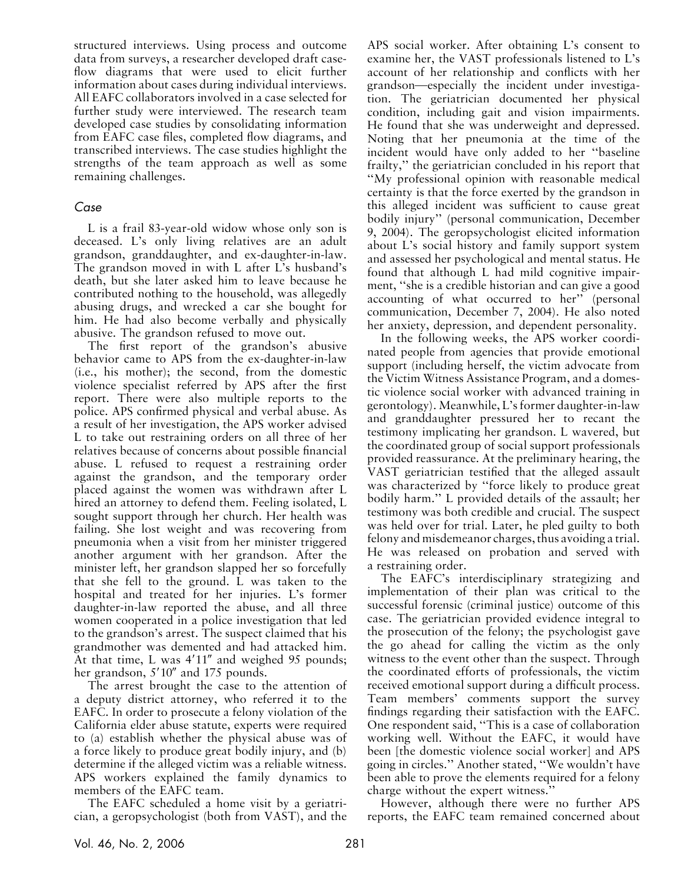structured interviews. Using process and outcome data from surveys, a researcher developed draft caseflow diagrams that were used to elicit further information about cases during individual interviews. All EAFC collaborators involved in a case selected for further study were interviewed. The research team developed case studies by consolidating information from EAFC case files, completed flow diagrams, and transcribed interviews. The case studies highlight the strengths of the team approach as well as some remaining challenges.

# Case

L is a frail 83-year-old widow whose only son is deceased. L's only living relatives are an adult grandson, granddaughter, and ex-daughter-in-law. The grandson moved in with L after L's husband's death, but she later asked him to leave because he contributed nothing to the household, was allegedly abusing drugs, and wrecked a car she bought for him. He had also become verbally and physically abusive. The grandson refused to move out.

The first report of the grandson's abusive behavior came to APS from the ex-daughter-in-law (i.e., his mother); the second, from the domestic violence specialist referred by APS after the first report. There were also multiple reports to the police. APS confirmed physical and verbal abuse. As a result of her investigation, the APS worker advised L to take out restraining orders on all three of her relatives because of concerns about possible financial abuse. L refused to request a restraining order against the grandson, and the temporary order placed against the women was withdrawn after L hired an attorney to defend them. Feeling isolated, L sought support through her church. Her health was failing. She lost weight and was recovering from pneumonia when a visit from her minister triggered another argument with her grandson. After the minister left, her grandson slapped her so forcefully that she fell to the ground. L was taken to the hospital and treated for her injuries. L's former daughter-in-law reported the abuse, and all three women cooperated in a police investigation that led to the grandson's arrest. The suspect claimed that his grandmother was demented and had attacked him. At that time, L was  $4'11''$  and weighed 95 pounds; her grandson,  $5'10''$  and 175 pounds.

The arrest brought the case to the attention of a deputy district attorney, who referred it to the EAFC. In order to prosecute a felony violation of the California elder abuse statute, experts were required to (a) establish whether the physical abuse was of a force likely to produce great bodily injury, and (b) determine if the alleged victim was a reliable witness. APS workers explained the family dynamics to members of the EAFC team.

The EAFC scheduled a home visit by a geriatrician, a geropsychologist (both from VAST), and the APS social worker. After obtaining L's consent to examine her, the VAST professionals listened to L's account of her relationship and conflicts with her grandson—especially the incident under investigation. The geriatrician documented her physical condition, including gait and vision impairments. He found that she was underweight and depressed. Noting that her pneumonia at the time of the incident would have only added to her ''baseline frailty,'' the geriatrician concluded in his report that ''My professional opinion with reasonable medical certainty is that the force exerted by the grandson in this alleged incident was sufficient to cause great bodily injury'' (personal communication, December 9, 2004). The geropsychologist elicited information about L's social history and family support system and assessed her psychological and mental status. He found that although L had mild cognitive impairment, ''she is a credible historian and can give a good accounting of what occurred to her'' (personal communication, December 7, 2004). He also noted her anxiety, depression, and dependent personality.

In the following weeks, the APS worker coordinated people from agencies that provide emotional support (including herself, the victim advocate from the Victim Witness Assistance Program, and a domestic violence social worker with advanced training in gerontology). Meanwhile, L's former daughter-in-law and granddaughter pressured her to recant the testimony implicating her grandson. L wavered, but the coordinated group of social support professionals provided reassurance. At the preliminary hearing, the VAST geriatrician testified that the alleged assault was characterized by ''force likely to produce great bodily harm.'' L provided details of the assault; her testimony was both credible and crucial. The suspect was held over for trial. Later, he pled guilty to both felony and misdemeanor charges, thus avoiding a trial. He was released on probation and served with a restraining order.

The EAFC's interdisciplinary strategizing and implementation of their plan was critical to the successful forensic (criminal justice) outcome of this case. The geriatrician provided evidence integral to the prosecution of the felony; the psychologist gave the go ahead for calling the victim as the only witness to the event other than the suspect. Through the coordinated efforts of professionals, the victim received emotional support during a difficult process. Team members' comments support the survey findings regarding their satisfaction with the EAFC. One respondent said, ''This is a case of collaboration working well. Without the EAFC, it would have been [the domestic violence social worker] and APS going in circles.'' Another stated, ''We wouldn't have been able to prove the elements required for a felony charge without the expert witness.''

However, although there were no further APS reports, the EAFC team remained concerned about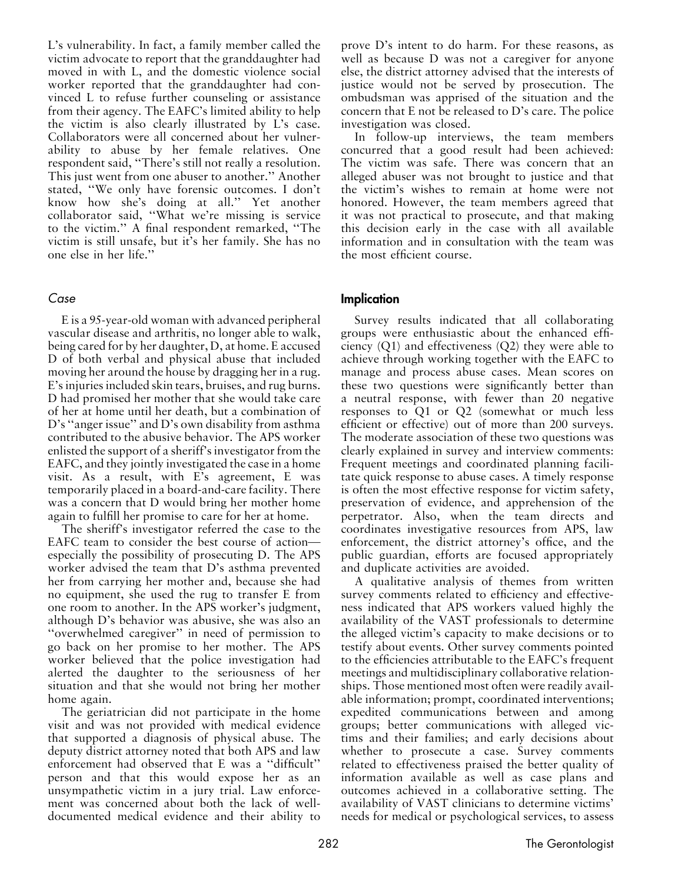L's vulnerability. In fact, a family member called the victim advocate to report that the granddaughter had moved in with L, and the domestic violence social worker reported that the granddaughter had convinced L to refuse further counseling or assistance from their agency. The EAFC's limited ability to help the victim is also clearly illustrated by L's case. Collaborators were all concerned about her vulnerability to abuse by her female relatives. One respondent said, ''There's still not really a resolution. This just went from one abuser to another.'' Another stated, ''We only have forensic outcomes. I don't know how she's doing at all.'' Yet another collaborator said, ''What we're missing is service to the victim.'' A final respondent remarked, ''The victim is still unsafe, but it's her family. She has no one else in her life.''

## Case

E is a 95-year-old woman with advanced peripheral vascular disease and arthritis, no longer able to walk, being cared for by her daughter, D, at home. E accused D of both verbal and physical abuse that included moving her around the house by dragging her in a rug. E's injuries included skin tears, bruises, and rug burns. D had promised her mother that she would take care of her at home until her death, but a combination of D's ''anger issue'' and D's own disability from asthma contributed to the abusive behavior. The APS worker enlisted the support of a sheriff's investigator from the EAFC, and they jointly investigated the case in a home visit. As a result, with E's agreement, E was temporarily placed in a board-and-care facility. There was a concern that D would bring her mother home again to fulfill her promise to care for her at home.

The sheriff's investigator referred the case to the EAFC team to consider the best course of action especially the possibility of prosecuting D. The APS worker advised the team that D's asthma prevented her from carrying her mother and, because she had no equipment, she used the rug to transfer E from one room to another. In the APS worker's judgment, although D's behavior was abusive, she was also an "overwhelmed caregiver" in need of permission to go back on her promise to her mother. The APS worker believed that the police investigation had alerted the daughter to the seriousness of her situation and that she would not bring her mother home again.

The geriatrician did not participate in the home visit and was not provided with medical evidence that supported a diagnosis of physical abuse. The deputy district attorney noted that both APS and law enforcement had observed that E was a ''difficult'' person and that this would expose her as an unsympathetic victim in a jury trial. Law enforcement was concerned about both the lack of welldocumented medical evidence and their ability to

prove D's intent to do harm. For these reasons, as well as because D was not a caregiver for anyone else, the district attorney advised that the interests of justice would not be served by prosecution. The ombudsman was apprised of the situation and the concern that E not be released to D's care. The police investigation was closed.

In follow-up interviews, the team members concurred that a good result had been achieved: The victim was safe. There was concern that an alleged abuser was not brought to justice and that the victim's wishes to remain at home were not honored. However, the team members agreed that it was not practical to prosecute, and that making this decision early in the case with all available information and in consultation with the team was the most efficient course.

## Implication

Survey results indicated that all collaborating groups were enthusiastic about the enhanced efficiency (Q1) and effectiveness (Q2) they were able to achieve through working together with the EAFC to manage and process abuse cases. Mean scores on these two questions were significantly better than a neutral response, with fewer than 20 negative responses to Q1 or Q2 (somewhat or much less efficient or effective) out of more than 200 surveys. The moderate association of these two questions was clearly explained in survey and interview comments: Frequent meetings and coordinated planning facilitate quick response to abuse cases. A timely response is often the most effective response for victim safety, preservation of evidence, and apprehension of the perpetrator. Also, when the team directs and coordinates investigative resources from APS, law enforcement, the district attorney's office, and the public guardian, efforts are focused appropriately and duplicate activities are avoided.

A qualitative analysis of themes from written survey comments related to efficiency and effectiveness indicated that APS workers valued highly the availability of the VAST professionals to determine the alleged victim's capacity to make decisions or to testify about events. Other survey comments pointed to the efficiencies attributable to the EAFC's frequent meetings and multidisciplinary collaborative relationships. Those mentioned most often were readily available information; prompt, coordinated interventions; expedited communications between and among groups; better communications with alleged victims and their families; and early decisions about whether to prosecute a case. Survey comments related to effectiveness praised the better quality of information available as well as case plans and outcomes achieved in a collaborative setting. The availability of VAST clinicians to determine victims' needs for medical or psychological services, to assess